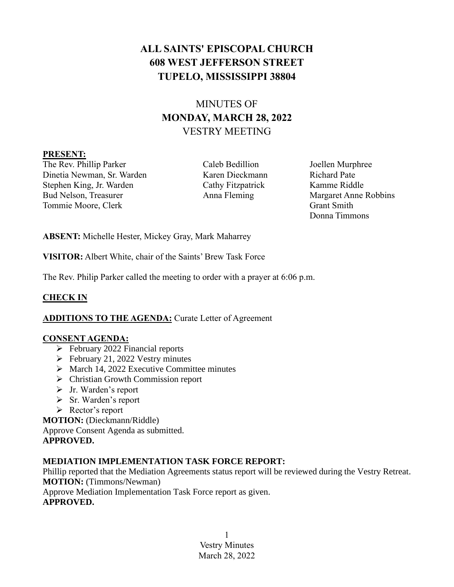# **ALL SAINTS' EPISCOPAL CHURCH 608 WEST JEFFERSON STREET TUPELO, MISSISSIPPI 38804**

# MINUTES OF **MONDAY, MARCH 28, 2022** VESTRY MEETING

#### **PRESENT:**

The Rev. Phillip Parker Caleb Bedillion Joellen Murphree Dinetia Newman, Sr. Warden Karen Dieckmann Richard Pate Stephen King, Jr. Warden Cathy Fitzpatrick Kamme Riddle Bud Nelson, Treasurer Anna Fleming Margaret Anne Robbins Tommie Moore, Clerk Grant Smith

Donna Timmons

**ABSENT:** Michelle Hester, Mickey Gray, Mark Maharrey

**VISITOR:** Albert White, chair of the Saints' Brew Task Force

The Rev. Philip Parker called the meeting to order with a prayer at 6:06 p.m.

# **CHECK IN**

# **ADDITIONS TO THE AGENDA:** Curate Letter of Agreement

#### **CONSENT AGENDA:**

- ➢ February 2022 Financial reports
- $\blacktriangleright$  February 21, 2022 Vestry minutes
- $\triangleright$  March 14, 2022 Executive Committee minutes
- ➢ Christian Growth Commission report
- ➢ Jr. Warden's report
- ➢ Sr. Warden's report
- ➢ Rector's report

**MOTION:** (Dieckmann/Riddle)

Approve Consent Agenda as submitted.

### **APPROVED.**

#### **MEDIATION IMPLEMENTATION TASK FORCE REPORT:**

Phillip reported that the Mediation Agreements status report will be reviewed during the Vestry Retreat. **MOTION:** (Timmons/Newman)

Approve Mediation Implementation Task Force report as given. **APPROVED.**

> 1 Vestry Minutes March 28, 2022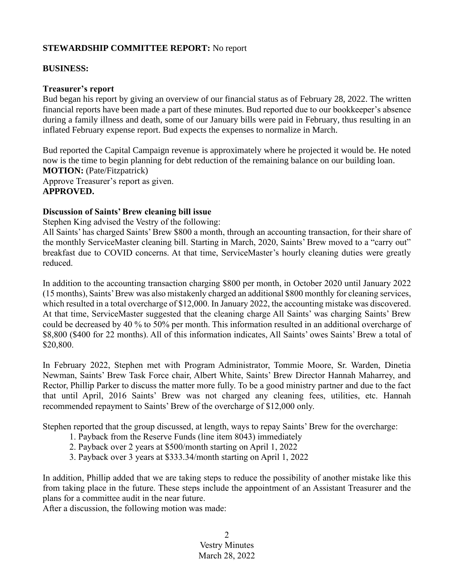### **STEWARDSHIP COMMITTEE REPORT:** No report

#### **BUSINESS:**

#### **Treasurer's report**

Bud began his report by giving an overview of our financial status as of February 28, 2022. The written financial reports have been made a part of these minutes. Bud reported due to our bookkeeper's absence during a family illness and death, some of our January bills were paid in February, thus resulting in an inflated February expense report. Bud expects the expenses to normalize in March.

Bud reported the Capital Campaign revenue is approximately where he projected it would be. He noted now is the time to begin planning for debt reduction of the remaining balance on our building loan. **MOTION:** (Pate/Fitzpatrick) Approve Treasurer's report as given. **APPROVED.**

#### **Discussion of Saints' Brew cleaning bill issue**

Stephen King advised the Vestry of the following:

All Saints' has charged Saints' Brew \$800 a month, through an accounting transaction, for their share of the monthly ServiceMaster cleaning bill. Starting in March, 2020, Saints' Brew moved to a "carry out" breakfast due to COVID concerns. At that time, ServiceMaster's hourly cleaning duties were greatly reduced.

In addition to the accounting transaction charging \$800 per month, in October 2020 until January 2022 (15 months), Saints' Brew was also mistakenly charged an additional \$800 monthly for cleaning services, which resulted in a total overcharge of \$12,000. In January 2022, the accounting mistake was discovered. At that time, ServiceMaster suggested that the cleaning charge All Saints' was charging Saints' Brew could be decreased by 40 % to 50% per month. This information resulted in an additional overcharge of \$8,800 (\$400 for 22 months). All of this information indicates, All Saints' owes Saints' Brew a total of \$20,800.

In February 2022, Stephen met with Program Administrator, Tommie Moore, Sr. Warden, Dinetia Newman, Saints' Brew Task Force chair, Albert White, Saints' Brew Director Hannah Maharrey, and Rector, Phillip Parker to discuss the matter more fully. To be a good ministry partner and due to the fact that until April, 2016 Saints' Brew was not charged any cleaning fees, utilities, etc. Hannah recommended repayment to Saints' Brew of the overcharge of \$12,000 only.

Stephen reported that the group discussed, at length, ways to repay Saints' Brew for the overcharge:

- 1. Payback from the Reserve Funds (line item 8043) immediately
- 2. Payback over 2 years at \$500/month starting on April 1, 2022
- 3. Payback over 3 years at \$333.34/month starting on April 1, 2022

In addition, Phillip added that we are taking steps to reduce the possibility of another mistake like this from taking place in the future. These steps include the appointment of an Assistant Treasurer and the plans for a committee audit in the near future.

After a discussion, the following motion was made:

2 Vestry Minutes March 28, 2022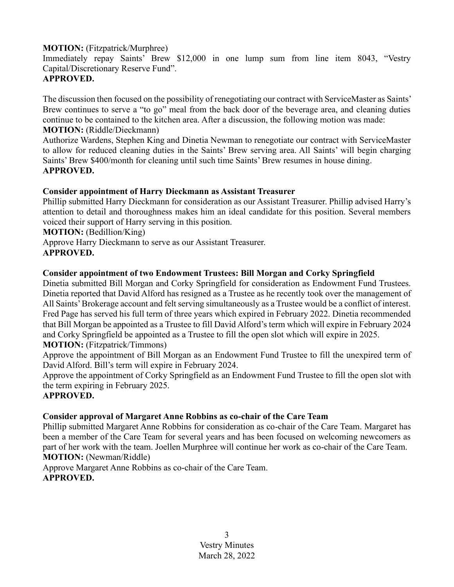### **MOTION:** (Fitzpatrick/Murphree)

Immediately repay Saints' Brew \$12,000 in one lump sum from line item 8043, "Vestry Capital/Discretionary Reserve Fund".

## **APPROVED.**

The discussion then focused on the possibility of renegotiating our contract with ServiceMaster as Saints' Brew continues to serve a "to go" meal from the back door of the beverage area, and cleaning duties continue to be contained to the kitchen area. After a discussion, the following motion was made: **MOTION:** (Riddle/Dieckmann)

Authorize Wardens, Stephen King and Dinetia Newman to renegotiate our contract with ServiceMaster to allow for reduced cleaning duties in the Saints' Brew serving area. All Saints' will begin charging Saints' Brew \$400/month for cleaning until such time Saints' Brew resumes in house dining. **APPROVED.**

## **Consider appointment of Harry Dieckmann as Assistant Treasurer**

Phillip submitted Harry Dieckmann for consideration as our Assistant Treasurer. Phillip advised Harry's attention to detail and thoroughness makes him an ideal candidate for this position. Several members voiced their support of Harry serving in this position.

**MOTION:** (Bedillion/King)

Approve Harry Dieckmann to serve as our Assistant Treasurer.

# **APPROVED.**

## **Consider appointment of two Endowment Trustees: Bill Morgan and Corky Springfield**

Dinetia submitted Bill Morgan and Corky Springfield for consideration as Endowment Fund Trustees. Dinetia reported that David Alford has resigned as a Trustee as he recently took over the management of All Saints' Brokerage account and felt serving simultaneously as a Trustee would be a conflict of interest. Fred Page has served his full term of three years which expired in February 2022. Dinetia recommended that Bill Morgan be appointed as a Trustee to fill David Alford's term which will expire in February 2024 and Corky Springfield be appointed as a Trustee to fill the open slot which will expire in 2025. **MOTION:** (Fitzpatrick/Timmons)

Approve the appointment of Bill Morgan as an Endowment Fund Trustee to fill the unexpired term of David Alford. Bill's term will expire in February 2024.

Approve the appointment of Corky Springfield as an Endowment Fund Trustee to fill the open slot with the term expiring in February 2025.

#### **APPROVED.**

# **Consider approval of Margaret Anne Robbins as co-chair of the Care Team**

Phillip submitted Margaret Anne Robbins for consideration as co-chair of the Care Team. Margaret has been a member of the Care Team for several years and has been focused on welcoming newcomers as part of her work with the team. Joellen Murphree will continue her work as co-chair of the Care Team. **MOTION:** (Newman/Riddle)

Approve Margaret Anne Robbins as co-chair of the Care Team. **APPROVED.**